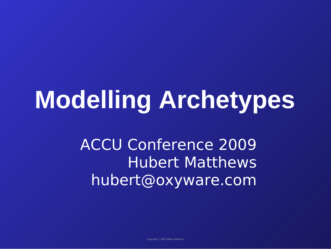# **Modelling Archetypes**

ACCU Conference 2009 Hubert Matthews hubert@oxyware.com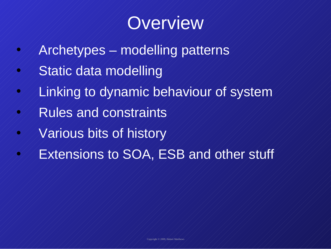

- $\mathcal{A}/\mathcal{A}$ rchetypes $\mathcal{A}$  modelling patterns
- $\mathcal{A}/\mathcal{B}$ tatic data modelling
- $\mathcal{A}/\mathcal{A}$ inking to dynamic behaviour of system
- $\mathcal{A}/\mathcal{R}$ ules and constraints
- $\mathscr{A}/\mathscr{N}$ arious bits of history
	- Extensions to SOA, ESB and other stuff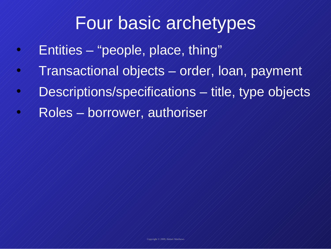#### Four basic archetypes

- $\mathcal{P}/\mathcal{P}$ Entities  $\mathcal{P}/\mathcal{P}$ people, place, thing"
- $\mathcal{F}/\mathcal{T}$ ransactional objects  $\mathcal{F}$  order, loan, payment
- Descriptions/specifications title, type objects
	- Roles borrower, authoriser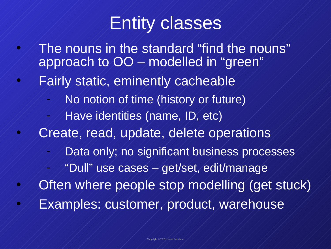#### Entity classes

- The nouns in the standard "find the nouns" approach to OO – modelled in "green"
- Fairly static, eminently cacheable
	- No notion of time (history or future)
	- Have identities (name, ID, etc)
- Create, read, update, delete operations
	- Data only; no significant business processes
		- "Dull" use cases get/set, edit/manage
- Often where people stop modelling (get stuck) • Examples: customer, product, warehouse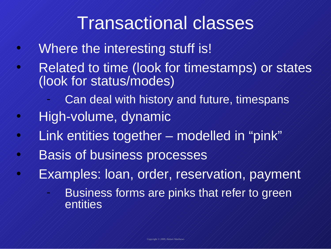#### Transactional classes

- $\mathcal{P}/\mathcal{P}$  Where the interesting stuff is!
- Related to time (look for timestamps) or states (look for status/modes)
	- Can deal with history and future, timespans
- $\mathcal{A}/\mathcal{A}$ igh-volume, dynamic
- $\mathcal{A}/\mathcal{A}$ ink entities together  $\mathcal{A}$  modelled in "pink"
- $\mathcal{P}/\mathcal{P}$  Basis of business processes
- Examples: loan, order, reservation, payment
	- Business forms are pinks that refer to green entities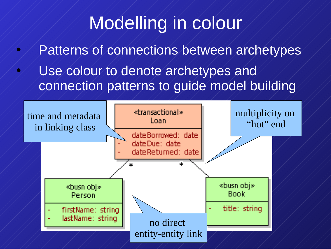# Modelling in colour

- Patterns of connections between archetypes
- $\mathcal{O}/\mathcal{O}$  use colour to denote archetypes and connection patterns to guide model building

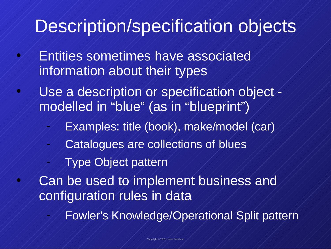# Description/specification objects

- Entities sometimes have associated information about their types
- Use a description or specification object modelled in "blue" (as in "blueprint")
	- Examples: title (book), make/model (car)
	- Catalogues are collections of blues
	- Type Object pattern
	- Can be used to implement business and configuration rules in data
		- Fowler's Knowledge/Operational Split pattern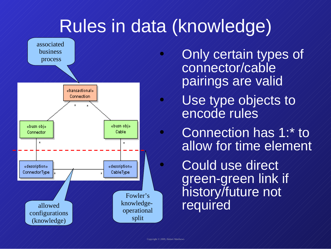

- Only certain types of connector/cable pairings are valid
- Use type objects to encode rules
	- Connection has 1:\* to allow for time element

Could use direct green-green link if history/future not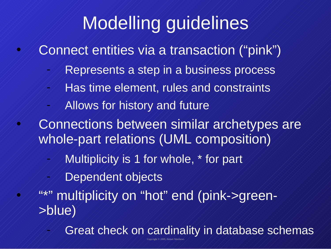# Modelling guidelines

- Connect entities via a transaction ("pink")
	- Represents a step in a business process
	- Has time element, rules and constraints
	- Allows for history and future
- Connections between similar archetypes are whole-part relations (UML composition)
	- Multiplicity is 1 for whole,  $*$  for part
	- Dependent objects
	- "\*" multiplicity on "hot" end (pink->green->blue)
		- Copyright © 2009, Hubert Matthews Great check on cardinality in database schemas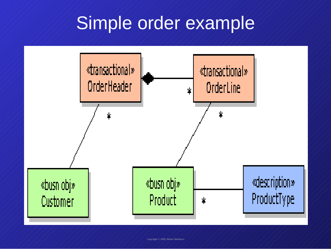# Simple order example

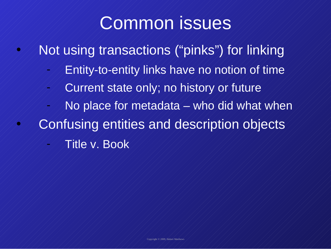#### Common issues

- $\mathcal{A}/\mathcal{A}$  Not using transactions ("pinks") for linking
	- Entity-to-entity links have no notion of time
	- Current state only; no history or future
	- $\overline{\mathsf{No}}$  place for metadata who did what when
	- Confusing entities and description objects
		- Title v. Book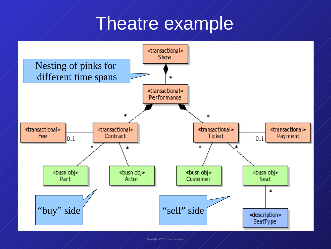#### Theatre example

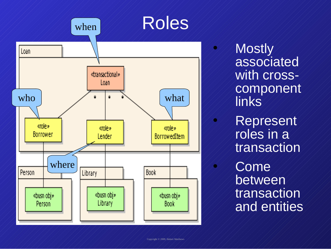

• Mostly associated with crosscomponent links **Represent** roles in a transaction Come between transaction and entities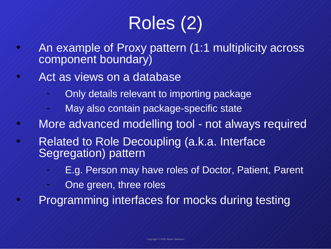# Roles (2)

- An example of Proxy pattern (1:1 multiplicity across component boundary)
- Act as views on a database
	- Only details relevant to importing package
	- May also contain package-specific state
- $\mathcal{A}/\mathcal{A}$  More advanced modelling tool not always required
	- Related to Role Decoupling (a.k.a. Interface Segregation) pattern
		- E.g. Person may have roles of Doctor, Patient, Parent
		- One green, three roles
	- Programming interfaces for mocks during testing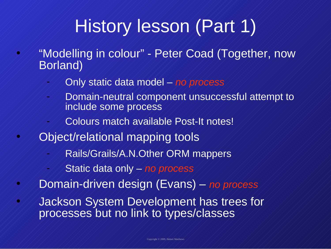# History lesson (Part 1)

- "Modelling in colour" Peter Coad (Together, now Borland)
	- Only static data model *no process*
	- Domain-neutral component unsuccessful attempt to include some process
		- Colours match available Post-It notes!
- Object/relational mapping tools
	- Rails/Grails/A.N.Other ORM mappers
	- Static data only *no process*
	- Domain-driven design (Evans) *no process*
- Jackson System Development has trees for processes but no link to types/classes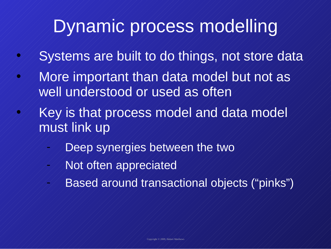## Dynamic process modelling

- $\mathcal{S}/\mathcal{S}$  Systems are built to do things, not store data
- $\mathcal{A}/\mathcal{M}$  or extract than data model but not as well understood or used as often
	- Key is that process model and data model must link up
		- Deep synergies between the two
		- Not often appreciated
			- Based around transactional objects ("pinks")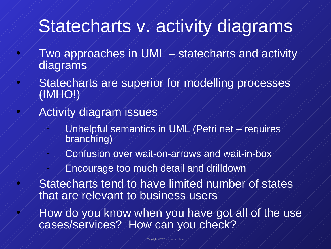#### Statecharts v. activity diagrams

- $\mathcal{A}/\mathcal{A}$  Two approaches in UML  $\mathcal{A}$  statecharts and activity diagrams
- $\mathcal{A}/\mathcal{B}$  Statecharts are superior for modelling processes (IMHO!)
	- Activity diagram issues
		- Unhelpful semantics in UML (Petri net requires branching)
		- Confusion over wait-on-arrows and wait-in-box
		- Encourage too much detail and drilldown
	- Statecharts tend to have limited number of states that are relevant to business users
	- How do you know when you have got all of the use cases/services? How can you check?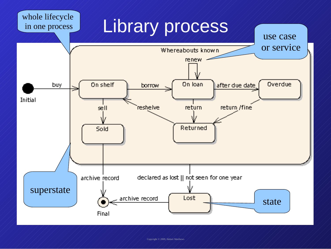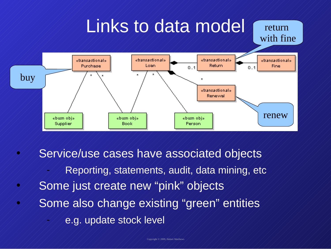

- Service/use cases have associated objects
	- Reporting, statements, audit, data mining, etc.
- Some just create new "pink" objects
- Some also change existing "green" entities
	- e.g. update stock level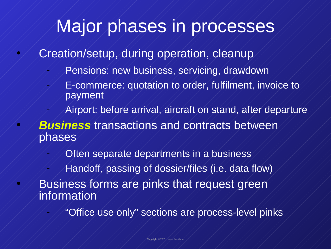# Major phases in processes

• Creation/setup, during operation, cleanup

- Pensions: new business, servicing, drawdown
- E-commerce: quotation to order, fulfilment, invoice to payment
- Airport: before arrival, aircraft on stand, after departure
- *Business* transactions and contracts between phases
	- Often separate departments in a business
	- Handoff, passing of dossier/files (i.e. data flow)
	- Business forms are pinks that request green information

"Office use only" sections are process-level pinks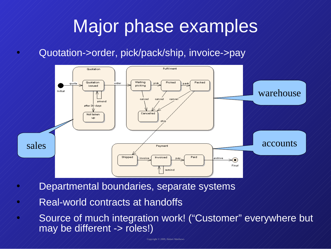#### Major phase examples

• Quotation->order, pick/pack/ship, invoice->pay



- Departmental boundaries, separate systems
- $\sim$   $\sim$  Real-world contracts at handoffs
- Source of much integration work! ("Customer" everywhere but may be different -> roles!)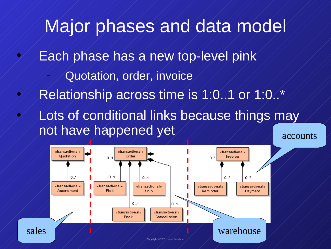# Major phases and data model

- Each phase has a new top-level pink
	- Quotation, order, invoice
- $\mathcal{C}/\mathcal{R}$ elationship across time is 1:0..1 or 1:0..\*
- $\mathcal{A}/\mathcal{A}$  conditional links because things may not have happened yet accounts

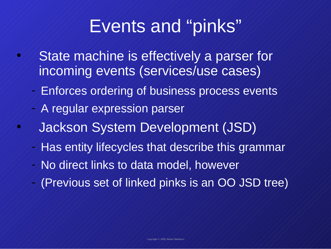#### Events and "pinks"

- $\mathcal{A}/\mathcal{B}$  State machine is effectively a parser for incoming events (services/use cases)
	- Enforces ordering of business process events
	- A regular expression parser
	- Jackson System Development (JSD)
	- Has entity lifecycles that describe this grammar
	- No direct links to data model, however
	- (Previous set of linked pinks is an OO JSD tree)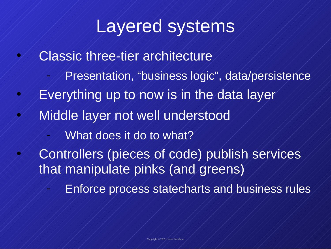#### Layered systems

- Classic three-tier architecture
	- Presentation, "business logic", data/persistence
- $\mathcal{L}/\mathcal{L}$  Everything up to now is in the data layer
	- Middle layer not well understood
		- What does it do to what?
	- Controllers (pieces of code) publish services that manipulate pinks (and greens)
		- Enforce process statecharts and business rules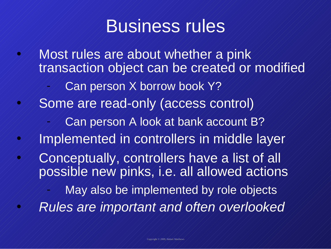#### Business rules

• Most rules are about whether a pink transaction object can be created or modified Can person X borrow book Y? • Some are read-only (access control) Can person A look at bank account B? • Implemented in controllers in middle layer  $\mathscr{A}/\mathscr{C}$ onceptually, controllers have a list of all possible new pinks, i.e. all allowed actions May also be implemented by role objects • *Rules are important and often overlooked*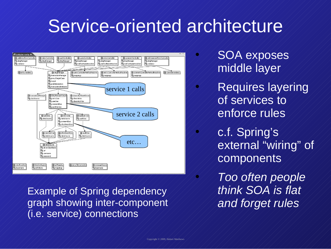#### Service-oriented architecture



Example of Spring dependency graph showing inter-component (i.e. service) connections

• SOA exposes middle layer

Requires layering of services to enforce rules

• c.f. Spring's external "wiring" of components

• *Too often people think SOA is flat and forget rules*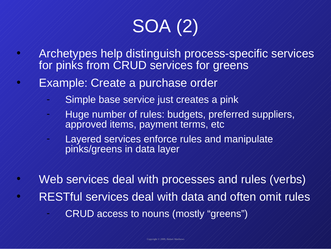# SOA (2)

- Archetypes help distinguish process-specific services for pinks from CRUD services for greens
- **Example: Create a purchase order** 
	- Simple base service just creates a pink
	- Huge number of rules: budgets, preferred suppliers, approved items, payment terms, etc
	- Layered services enforce rules and manipulate pinks/greens in data layer
- Web services deal with processes and rules (verbs)  $\mathcal{A}/\mathcal{B}$ RESTful services deal with data and often omit rules - CRUD access to nouns (mostly "greens")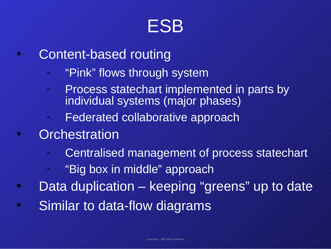

- Content-based routing
	- "Pink" flows through system
		- Process statechart implemented in parts by individual systems (major phases)
	- Federated collaborative approach
- **Orchestration** 
	- Centralised management of process statechart
	- "Big box in middle" approach
- Data duplication keeping "greens" up to date • Similar to data-flow diagrams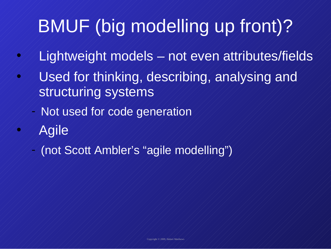# BMUF (big modelling up front)?

- $\frac{1}{2}$  Lightweight models  $\neq$  not even attributes/fields
- $\mathcal{U}/\mathcal{U}$ sed for thinking, describing, analysing and structuring systems
	- Not used for code generation
- Agile
	- (not Scott Ambler's "agile modelling")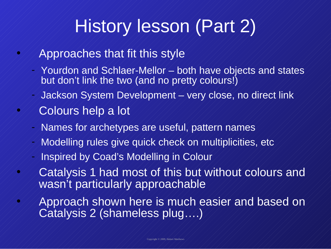# History lesson (Part 2)

- Approaches that fit this style
	- Yourdon and Schlaer-Mellor both have objects and states but don't link the two (and no pretty colours!)
	- Jackson System Development very close, no direct link
- Colours help a lot
	- Names for archetypes are useful, pattern names
	- Modelling rules give quick check on multiplicities, etc
	- Inspired by Coad's Modelling in Colour
- Catalysis 1 had most of this but without colours and wasn't particularly approachable
- $\mathcal{A}/\mathcal{A}$ pproach shown here is much easier and based on Catalysis 2 (shameless plug….)